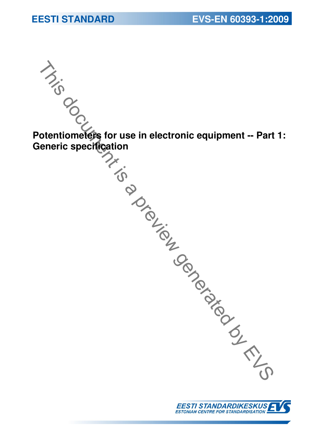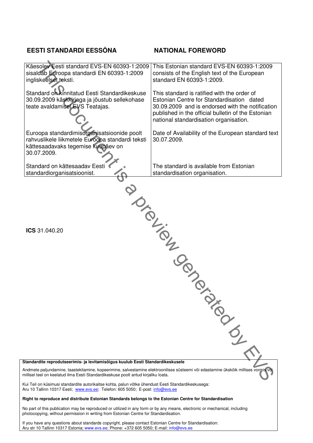# **EESTI STANDARDI EESSÕNA NATIONAL FOREWORD**

| Käesolev Eesti standard EVS-EN 60393-1:2009<br>sisaldab Euroopa standardi EN 60393-1:2009<br>ingliskeelset teksti.                                                                                                  | This Estonian standard EVS-EN 60393-1:2009<br>consists of the English text of the European<br>standard EN 60393-1:2009.                                                                                                                      |
|---------------------------------------------------------------------------------------------------------------------------------------------------------------------------------------------------------------------|----------------------------------------------------------------------------------------------------------------------------------------------------------------------------------------------------------------------------------------------|
|                                                                                                                                                                                                                     |                                                                                                                                                                                                                                              |
| Standard on kinnitatud Eesti Standardikeskuse<br>30.09.2009 käskkirjaga ja jõustub sellekohase<br>teate avaldamisel EVS Teatajas.                                                                                   | This standard is ratified with the order of<br>Estonian Centre for Standardisation dated<br>30.09.2009 and is endorsed with the notification<br>published in the official bulletin of the Estonian<br>national standardisation organisation. |
|                                                                                                                                                                                                                     |                                                                                                                                                                                                                                              |
| Euroopa standardimisorganisatsioonide poolt<br>rahvuslikele liikmetele Euroopa standardi teksti<br>kättesaadavaks tegemise kuupäev on<br>30.07.2009.                                                                | Date of Availability of the European standard text<br>30.07.2009.                                                                                                                                                                            |
| Standard on kättesaadav Eesti                                                                                                                                                                                       | The standard is available from Estonian                                                                                                                                                                                                      |
| standardiorganisatsioonist.                                                                                                                                                                                         | standardisation organisation.                                                                                                                                                                                                                |
|                                                                                                                                                                                                                     |                                                                                                                                                                                                                                              |
| ICS 31,040.20<br>Standardite reprodutseerimis- ja levitamisõigus kuulub Eesti Standardikeskusele                                                                                                                    | IDED TON BY<br>PRIDED TO                                                                                                                                                                                                                     |
| Andmete paljundamine, taastekitamine, kopeerimine, salvestamine elektroonilisse süsteemi või edastamine ükskõik millises vormis või                                                                                 |                                                                                                                                                                                                                                              |
| millisel teel on keelatud ilma Eesti Standardikeskuse poolt antud kirjaliku loata.                                                                                                                                  |                                                                                                                                                                                                                                              |
| Kui Teil on küsimusi standardite autorikaitse kohta, palun võtke ühendust Eesti Standardikeskusega:<br>Aru 10 Tallinn 10317 Eesti; www.evs.ee; Telefon: 605 5050; E-post: info@evs.ee                               |                                                                                                                                                                                                                                              |
| Right to reproduce and distribute Estonian Standards belongs to the Estonian Centre for Standardisation                                                                                                             |                                                                                                                                                                                                                                              |
| No part of this publication may be reproduced or utilized in any form or by any means, electronic or mechanical, including<br>photocopying, without permission in writing from Estonian Centre for Standardisation. |                                                                                                                                                                                                                                              |

If you have any questions about standards copyright, please contact Estonian Centre for Standardisation: Aru str 10 Tallinn 10317 Estonia; www.evs.ee; Phone: +372 605 5050; E-mail: info@evs.ee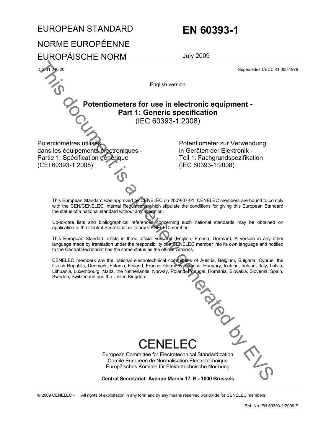# EUROPEAN STANDARD **EN 60393-1**

# NORME EUROPÉENNE

EUROPÄISCHE NORM July 2009

Supersedes CECC 41 000:1976

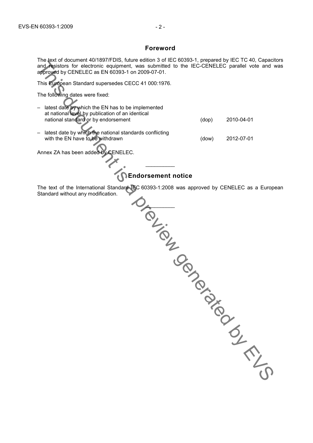### **Foreword**

The text of document 40/1897/FDIS, future edition 3 of IEC 60393-1, prepared by IEC TC 40, Capacitors and resistors for electronic equipment, was submitted to the IEC-CENELEC parallel vote and was approved by CENELEC as EN 60393-1 on 2009-07-01.

This European Standard supersedes CECC 41 000:1976.

The following dates were fixed:

| latest date by which the EN has to be implemented       |       |            |
|---------------------------------------------------------|-------|------------|
| at national level by publication of an identical        |       |            |
| national standard or by endorsement                     | (dop) | 2010-04-01 |
|                                                         |       |            |
| latest date by which the national standards conflicting |       |            |
| with the EN have to be withdrawn                        | (dow) | 2012-07-01 |
|                                                         |       |            |
| Annex ZA has been added by CENELEC.                     |       |            |

# **Endorsement notice**

The text of the International Standard IEC 60393-1:2008 was approved by CENELEC as a European Standard without any modification.

 $\frac{1}{2}$ 

 $\angle$ The Function to enterpret is a proposition of the technical control of the state of the proposition of the state of the state of the state of the state wave from the state of the state of the state of the state of the stat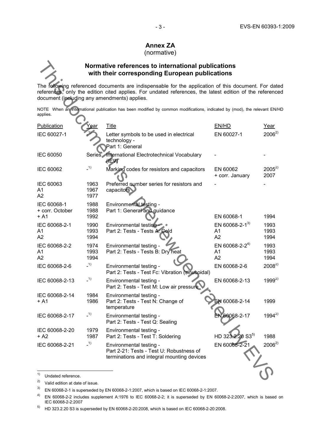### - 3 - EN 60393-1:2009 EVS-EN 60393-1:2009

# **Annex ZA**

### (normative)

## **Normative references to international publications with their corresponding European publications**

|                                          |                      | Normative references to international publications<br>with their corresponding European publications                                                                                                                                                           |                                                    |                      |
|------------------------------------------|----------------------|----------------------------------------------------------------------------------------------------------------------------------------------------------------------------------------------------------------------------------------------------------------|----------------------------------------------------|----------------------|
|                                          |                      | The following referenced documents are indispensable for the application of this document. For date<br>references, only the edition cited applies. For undated references, the latest edition of the reference<br>document (including any amendments) applies. |                                                    |                      |
| applies.                                 |                      | NOTE When an international publication has been modified by common modifications, indicated by (mod), the relevant EN/H                                                                                                                                        |                                                    |                      |
| Publication                              | Year                 | <b>Title</b>                                                                                                                                                                                                                                                   | EN/HD                                              | Year                 |
| IEC 60027-1                              |                      | Letter symbols to be used in electrical<br>technology -<br>Part 1: General                                                                                                                                                                                     | EN 60027-1                                         | $2006^{2}$           |
| <b>IEC 60050</b>                         |                      | Series International Electrotechnical Vocabulary<br><b>HEXT</b>                                                                                                                                                                                                |                                                    |                      |
| IEC 60062                                | $-1)$                | Marking codes for resistors and capacitors                                                                                                                                                                                                                     | EN 60062<br>+ corr. January                        | $2005^{2}$<br>2007   |
| IEC 60063<br>A1<br>A2                    | 1963<br>1967<br>1977 | Preferred number series for resistors and<br>capacitors                                                                                                                                                                                                        |                                                    |                      |
| IEC 60068-1<br>+ corr. October<br>$+ A1$ | 1988<br>1988<br>1992 | Environmental testing -<br>Part 1: General and guidance                                                                                                                                                                                                        | EN 60068-1                                         | 1994                 |
| IEC 60068-2-1<br>A1<br>A2                | 1990<br>1993<br>1994 | Environmental testing<br>Part 2: Tests - Tests A: Cold                                                                                                                                                                                                         | EN 60068-2-1 <sup>3)</sup><br>A <sub>1</sub><br>A2 | 1993<br>1993<br>1994 |
| IEC 60068-2-2<br>A1<br>A2                | 1974<br>1993<br>1994 | Environmental testing -<br>Part 2: Tests - Tests B: Dry heat                                                                                                                                                                                                   | EN 60068-2-2 <sup>4)</sup><br>A <sub>1</sub><br>A2 | 1993<br>1993<br>1994 |
| IEC 60068-2-6                            | $-1)$                | Environmental testing -<br>Part 2: Tests - Test Fc: Vibration (sinusoidal)                                                                                                                                                                                     | EN 60068-2-6                                       | $2008^{2}$           |
| IEC 60068-2-13                           | $-1)$                | Environmental testing -<br>Part 2: Tests - Test M: Low air pressure                                                                                                                                                                                            | EN 60068-2-13                                      | $1999^{2}$           |
| IEC 60068-2-14<br>+ A1                   | 1984<br>1986         | Environmental testing -<br>Part 2: Tests - Test N: Change of<br>temperature                                                                                                                                                                                    | EN 60068-2-14                                      | 1999                 |
| IEC 60068-2-17                           | $-1)$                | Environmental testing -<br>Part 2: Tests - Test Q: Sealing                                                                                                                                                                                                     | EN 60068-2-17                                      | $1994^{2}$           |
| IEC 60068-2-20<br>+ A2                   | 1979<br>1987         | Environmental testing -<br>Part 2: Tests - Test T: Soldering                                                                                                                                                                                                   | HD 323.2.20 S35)                                   | 1988                 |
| IEC 60068-2-21                           | $-1)$                | Environmental testing -<br>Part 2-21: Tests - Test U: Robustness of<br>terminations and integral mounting devices                                                                                                                                              | EN 60068-2-21                                      | $2006^{2}$           |
| 1)<br>Undated reference.                 |                      |                                                                                                                                                                                                                                                                |                                                    |                      |

 $1)$ 

<sup>&</sup>lt;sup>1)</sup> Undated reference.<br><sup>2)</sup> Valid edition at date of issue.

 $3)$  EN 60068-2-1 is superseded by EN 60068-2-1:2007, which is based on IEC 60068-2-1:2007.

<sup>4)</sup> EN 60068-2-2 includes supplement A:1976 to IEC 60068-2-2; it is superseded by EN 60068-2-2:2007, which is based on IEC 60068-2-2:2007

 $5)$  HD 323.2.20 S3 is superseded by EN 60068-2-20:2008, which is based on IEC 60068-2-20:2008.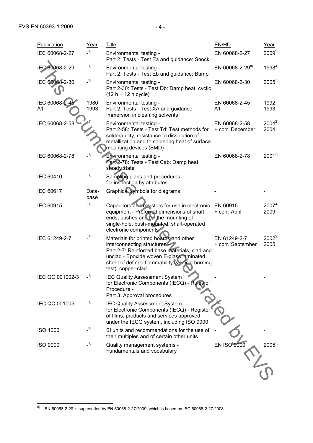$\overline{a}$ 

| Publication         | Year          | <b>Title</b>                                                                                                                                                                                                                               | EN/HD                             | Year               |
|---------------------|---------------|--------------------------------------------------------------------------------------------------------------------------------------------------------------------------------------------------------------------------------------------|-----------------------------------|--------------------|
| IEC 60068-2-27      | $-1)$         | Environmental testing -<br>Part 2: Tests - Test Ea and guidance: Shock                                                                                                                                                                     | EN 60068-2-27                     | $2009^{2}$         |
| IEC 60068-2-29      | $-1)$         | Environmental testing -<br>Part 2: Tests - Test Eb and guidance: Bump                                                                                                                                                                      | EN 60068-2-29 <sup>6)</sup>       | $1993^{2}$         |
| IEC 60068-2-30      | $-1)$         | Environmental testing -<br>Part 2-30: Tests - Test Db: Damp heat, cyclic<br>$(12 h + 12 h cycle)$                                                                                                                                          | EN 60068-2-30                     | $2005^{2}$         |
| IEC 60068-2-4<br>A1 | 1980<br>1993  | Environmental testing -<br>Part 2: Tests - Test XA and guidance:<br>Immersion in cleaning solvents                                                                                                                                         | EN 60068-2-45<br>A1               | 1992<br>1993       |
| IEC 60068-2-58      |               | Environmental testing -<br>Part 2-58: Tests - Test Td: Test methods for<br>solderability, resistance to dissolution of<br>metallization and to soldering heat of surface<br>mounting devices (SMD)                                         | EN 60068-2-58<br>+ corr. December | $2004^{2}$<br>2004 |
| IEC 60068-2-78      | $\_1)$        | Environmental testing -<br>Part 2-78: Tests - Test Cab: Damp heat,<br>steady state                                                                                                                                                         | EN 60068-2-78                     | $2001^{2}$         |
| IEC 60410           | $-1)$         | Sampling plans and procedures<br>for inspection by attributes                                                                                                                                                                              |                                   |                    |
| IEC 60617           | Data-<br>base | Graphical symbols for diagrams                                                                                                                                                                                                             |                                   |                    |
| IEC 60915           | $-1)$         | Capacitors and resistors for use in electronic<br>equipment - Preferred dimensions of shaft<br>ends, bushes and for the mounting of<br>single-hole, bush-mounted, shaft-operated<br>electronic components                                  | EN 60915<br>+ corr. April         | $2007^{2}$<br>2009 |
| IEC 61249-2-7       | $-1)$         | Materials for printed boards and other<br>interconnecting structures<br>Part 2-7: Reinforced base materials, clad and<br>unclad - Epoxide woven E-glass laminated<br>sheet of defined flammability (vertical burning<br>test), copper-clad | EN 61249-2-7<br>+ corr. September | $2002^{2}$<br>2005 |
| IEC QC 001002-3     | 1)            | <b>IEC Quality Assessment System</b><br>for Electronic Components (IECQ) - Rules of<br>Procedure -<br>Part 3: Approval procedures                                                                                                          |                                   |                    |
| IEC QC 001005       | $-1)$         | <b>IEC Quality Assessment System</b><br>for Electronic Components (IECQ) - Register<br>of films, products and services approved<br>under the IECQ system, including ISO 9000                                                               |                                   |                    |
| <b>ISO 1000</b>     | $-1)$         | SI units and recommendations for the use of<br>their multiples and of certain other units                                                                                                                                                  |                                   |                    |
| <b>ISO 9000</b>     | $-1)$         | Quality management systems -<br>Fundamentals and vocabulary                                                                                                                                                                                | <b>EN ISO 9000</b>                | $2005^{2}$         |
|                     |               |                                                                                                                                                                                                                                            |                                   |                    |

 $^{6)}$  EN 60068-2-29 is superseded by EN 60068-2-27:2009, which is based on IEC 60068-2-27:2008.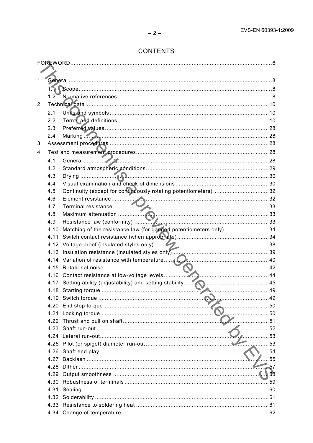# **CONTENTS**

| 1              |                  |                                                                   |      |
|----------------|------------------|-------------------------------------------------------------------|------|
|                |                  |                                                                   |      |
|                |                  |                                                                   |      |
|                | 1.2 <sub>1</sub> |                                                                   |      |
| $\overline{2}$ |                  |                                                                   |      |
|                | 2.1              |                                                                   |      |
|                | 2.2              |                                                                   |      |
|                | 2.3              |                                                                   |      |
|                | 2.4              | Marking 28                                                        |      |
| 3              |                  |                                                                   |      |
| 4              |                  |                                                                   |      |
|                | 4.1              |                                                                   |      |
|                | 4.2              |                                                                   |      |
|                | 4.3              |                                                                   |      |
|                | 4.4              |                                                                   |      |
|                | 4.5              | Continuity (except for continuously rotating potentiometers)32    |      |
|                | 4.6              |                                                                   |      |
|                | 4.7              |                                                                   |      |
|                | 4.8              |                                                                   |      |
|                | 4.9              |                                                                   |      |
|                | 4.10             | Matching of the resistance law (for ganged potentiometers only)34 |      |
|                | 4.11             |                                                                   |      |
|                |                  |                                                                   |      |
|                |                  |                                                                   |      |
|                |                  |                                                                   |      |
|                |                  |                                                                   |      |
|                |                  |                                                                   |      |
|                |                  |                                                                   |      |
|                |                  |                                                                   |      |
|                |                  |                                                                   | 49   |
|                | 4.20             |                                                                   | . 50 |
|                | 4.21             |                                                                   | 50   |
|                | 4.22             |                                                                   | 51   |
|                |                  |                                                                   | 52   |
|                | 4.24             |                                                                   | 53   |
|                |                  |                                                                   | 53   |
|                | 4.26             |                                                                   | 54   |
|                | 4.27             |                                                                   | 55   |
|                | 4.28             |                                                                   | 57   |
|                | 4.29             |                                                                   |      |
|                |                  |                                                                   |      |
|                | 4.31             |                                                                   |      |
|                |                  |                                                                   |      |
|                |                  |                                                                   |      |
|                |                  |                                                                   |      |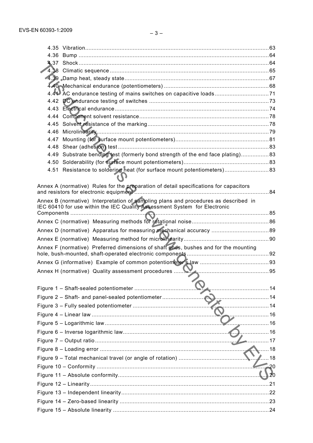| 4.36 |                                                                                                                                                                  |    |
|------|------------------------------------------------------------------------------------------------------------------------------------------------------------------|----|
|      |                                                                                                                                                                  |    |
|      |                                                                                                                                                                  |    |
|      |                                                                                                                                                                  |    |
|      |                                                                                                                                                                  |    |
|      |                                                                                                                                                                  |    |
|      |                                                                                                                                                                  |    |
| 4.44 |                                                                                                                                                                  |    |
| 4.45 |                                                                                                                                                                  |    |
| 4.46 |                                                                                                                                                                  |    |
| 4.47 |                                                                                                                                                                  |    |
| 4.48 |                                                                                                                                                                  |    |
| 4.49 | Substrate bending test (formerly bond strength of the end face plating)83                                                                                        |    |
|      |                                                                                                                                                                  |    |
|      | 4.51 Resistance to soldering heat (for surface mount potentiometers) 83                                                                                          |    |
|      | Annex A (normative) Rules for the preparation of detail specifications for capacitors                                                                            |    |
|      | Annex B (normative) Interpretation of sampling plans and procedures as described in<br>IEC 60410 for use within the IEC Quality Assessment System for Electronic |    |
|      |                                                                                                                                                                  |    |
|      |                                                                                                                                                                  |    |
|      |                                                                                                                                                                  |    |
|      |                                                                                                                                                                  |    |
|      | Annex F (normative) Preferred dimensions of shaft ends, bushes and for the mounting                                                                              |    |
|      |                                                                                                                                                                  |    |
|      |                                                                                                                                                                  |    |
|      |                                                                                                                                                                  |    |
|      |                                                                                                                                                                  |    |
|      |                                                                                                                                                                  |    |
|      |                                                                                                                                                                  |    |
|      |                                                                                                                                                                  |    |
|      | . 16                                                                                                                                                             |    |
|      | . 16                                                                                                                                                             |    |
|      | . 16                                                                                                                                                             |    |
|      |                                                                                                                                                                  | 17 |
|      |                                                                                                                                                                  | 18 |
|      |                                                                                                                                                                  | 18 |
|      |                                                                                                                                                                  | 20 |
|      |                                                                                                                                                                  | 20 |
|      |                                                                                                                                                                  | 21 |
|      |                                                                                                                                                                  |    |
|      |                                                                                                                                                                  |    |
|      |                                                                                                                                                                  |    |
|      |                                                                                                                                                                  |    |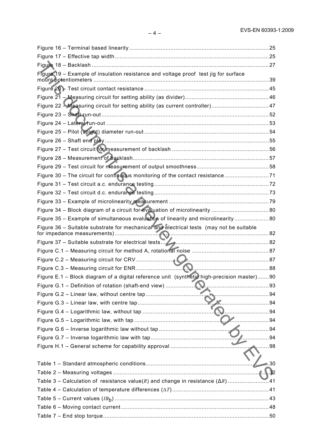| Figure 19 - Example of insulation resistance and voltage proof test jig for surface        |                  |
|--------------------------------------------------------------------------------------------|------------------|
|                                                                                            |                  |
|                                                                                            |                  |
|                                                                                            |                  |
|                                                                                            |                  |
|                                                                                            |                  |
|                                                                                            |                  |
|                                                                                            |                  |
|                                                                                            |                  |
|                                                                                            |                  |
|                                                                                            |                  |
|                                                                                            |                  |
| Figure 30 - The circuit for continuous monitoring of the contact resistance71              |                  |
|                                                                                            |                  |
|                                                                                            |                  |
|                                                                                            |                  |
| Figure 34 - Block diagram of a circuit for evaluation of microlinearity 80                 |                  |
| Figure 35 - Example of simultaneous evaluation of linearity and microlinearity80           |                  |
| Figure 36 - Suitable substrate for mechanical and electrical tests (may not be suitable    |                  |
|                                                                                            |                  |
|                                                                                            |                  |
|                                                                                            |                  |
|                                                                                            |                  |
| Figure E.1 - Block diagram of a digital reference unit (synthetic high-precision master)90 |                  |
|                                                                                            |                  |
|                                                                                            |                  |
|                                                                                            |                  |
|                                                                                            |                  |
| . 94                                                                                       |                  |
| . 94                                                                                       |                  |
|                                                                                            | 94               |
|                                                                                            | 98               |
|                                                                                            |                  |
|                                                                                            | $\rightarrow$ 30 |
|                                                                                            | . \\. 32         |
|                                                                                            |                  |
|                                                                                            |                  |
|                                                                                            |                  |
|                                                                                            |                  |
|                                                                                            |                  |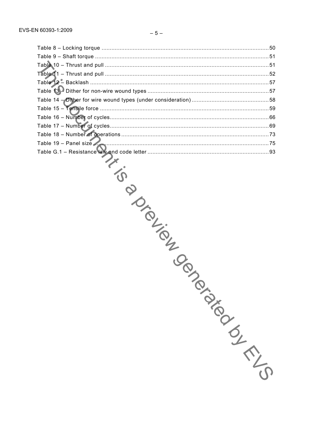| Table 19 - Panel size  |  |
|------------------------|--|
|                        |  |
|                        |  |
|                        |  |
|                        |  |
|                        |  |
|                        |  |
|                        |  |
|                        |  |
|                        |  |
|                        |  |
| <b>PIRICILIBRATION</b> |  |
|                        |  |
|                        |  |
|                        |  |
|                        |  |
|                        |  |
|                        |  |
|                        |  |
|                        |  |
|                        |  |
|                        |  |
|                        |  |
|                        |  |
|                        |  |
|                        |  |
|                        |  |
|                        |  |
| January 1219           |  |
|                        |  |
|                        |  |
|                        |  |
|                        |  |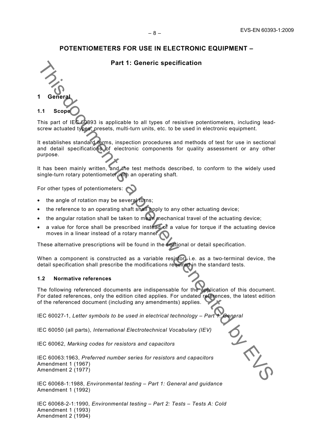## **Part 1: Generic specification**



This part of IEC 60393 is applicable to all types of resistive potentiometers, including leadscrew actuated types, presets, multi-turn units, etc. to be used in electronic equipment.

It establishes standard terms, inspection procedures and methods of test for use in sectional and detail specifications of electronic components for quality assessment or any other purpose. Part 1: Generic specification<br>
1 Generate<br>
1.3 Scope Constants Constant Constant Constant Constant Constant Constant Constant Constant Constant Constant Constant Constant Constant Constant Constant Constant Constant Consta

It has been mainly written, and the test methods described, to conform to the widely used single-turn rotary potentiometer with an operating shaft*.* 

For other types of potentiometers:

- the angle of rotation may be several turns;
- the reference to an operating shaft shall apply to any other actuating device;
- the angular rotation shall be taken to mean mechanical travel of the actuating device;
- a value for force shall be prescribed instead of a value for torque if the actuating device moves in a linear instead of a rotary manner.

These alternative prescriptions will be found in the sectional or detail specification.

When a component is constructed as a variable resistor, i.e. as a two-terminal device, the detail specification shall prescribe the modifications required in the standard tests.

### **1.2 Normative references**

The following referenced documents are indispensable for the application of this document. For dated references, only the edition cited applies. For undated references, the latest edition of the referenced document (including any amendments) applies.

IEC 60027-1, Letter symbols to be used in electrical technology – Part 1:

IEC 60050 (all parts), *International Electrotechnical Vocabulary (IEV)* 

IEC 60062, *Marking codes for resistors and capacitors*

IEC 60063:1963, *Preferred number series for resistors and capacitors*  Amendment 1 (1967) Amendment 2 (1977)

IEC 60068-1:1988, *Environmental testing – Part 1: General and guidance*  Amendment 1 (1992)

IEC 60068-2-1:1990, *Environmental testing – Part 2: Tests – Tests A: Cold*  Amendment 1 (1993) Amendment 2 (1994)